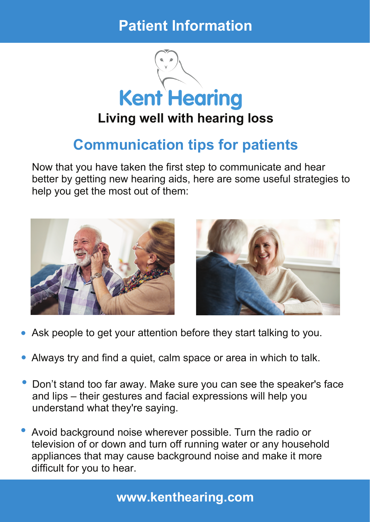## **Patient Information**



## **Communication tips for patients**

Now that you have taken the first step to communicate and hear better by getting new hearing aids, here are some useful strategies to help you get the most out of them:



- Ask people to get your attention before they start talking to you. **•**
- Always try and find <sup>a</sup> quiet, calm space or area in which to talk. **•**
- Don't stand too far away. Make sure you can see the speaker's face and lips – their gestures and facial expressions will help you understand what they're saying. **•**
- Avoid background noise wherever possible. Turn the radio or television of or down and turn off running water or any household appliances that may cause background noise and make it more difficult for you to hear. **•**

## **www.kenthearing.com**